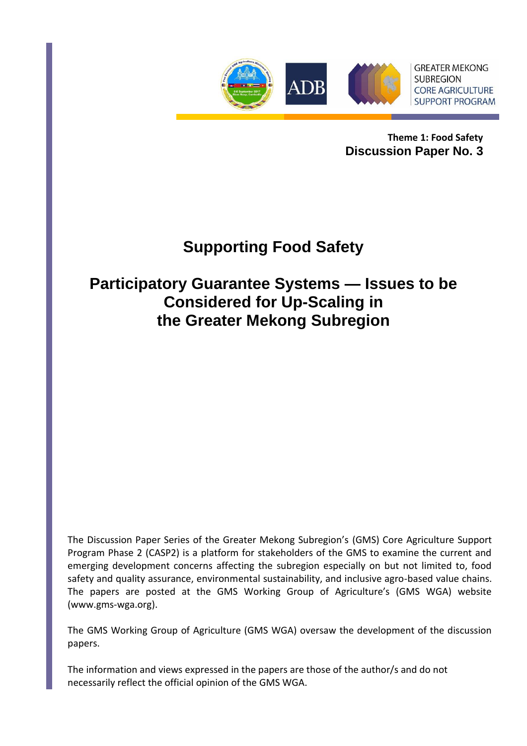

**Theme 1: Food Safety Discussion Paper No. 3**

# **Supporting Food Safety**

# **Participatory Guarantee Systems — Issues to be Considered for Up-Scaling in the Greater Mekong Subregion**

The Discussion Paper Series of the Greater Mekong Subregion's (GMS) Core Agriculture Support Program Phase 2 (CASP2) is a platform for stakeholders of the GMS to examine the current and emerging development concerns affecting the subregion especially on but not limited to, food safety and quality assurance, environmental sustainability, and inclusive agro-based value chains. The papers are posted at the GMS Working Group of Agriculture's (GMS WGA) website (www.gms-wga.org).

The GMS Working Group of Agriculture (GMS WGA) oversaw the development of the discussion papers.

The information and views expressed in the papers are those of the author/s and do not necessarily reflect the official opinion of the GMS WGA.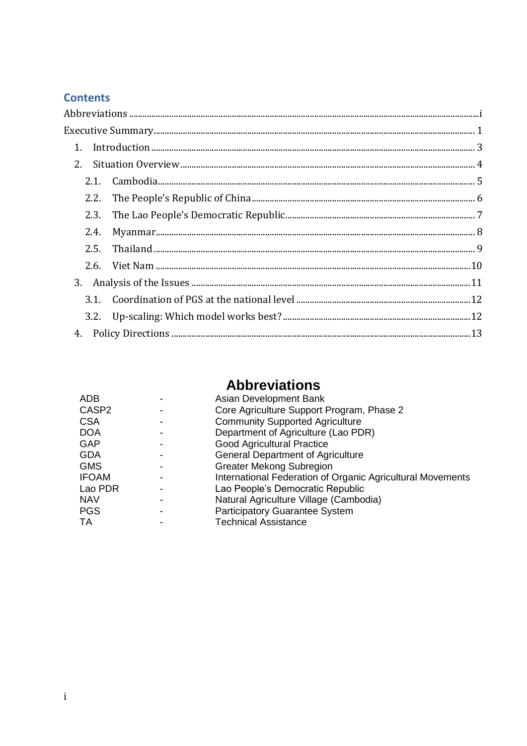## **Contents**

| 2.3. |  |  |
|------|--|--|
| 2.4. |  |  |
|      |  |  |
|      |  |  |
|      |  |  |
|      |  |  |
|      |  |  |
|      |  |  |
|      |  |  |

# **Abbreviations**

<span id="page-1-0"></span>

| Asian Development Bank                                     |
|------------------------------------------------------------|
| Core Agriculture Support Program, Phase 2                  |
| <b>Community Supported Agriculture</b>                     |
| Department of Agriculture (Lao PDR)                        |
| <b>Good Agricultural Practice</b>                          |
| <b>General Department of Agriculture</b>                   |
| <b>Greater Mekong Subregion</b>                            |
| International Federation of Organic Agricultural Movements |
| Lao People's Democratic Republic                           |
| Natural Agriculture Village (Cambodia)                     |
| <b>Participatory Guarantee System</b>                      |
| <b>Technical Assistance</b>                                |
|                                                            |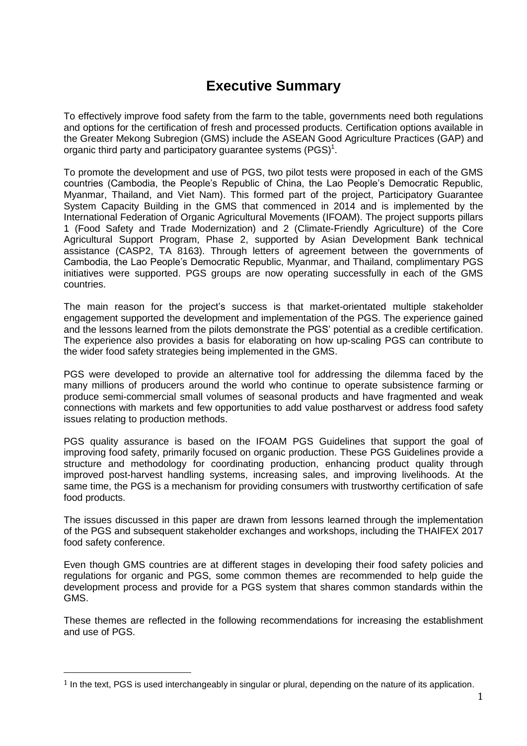## **Executive Summary**

To effectively improve food safety from the farm to the table, governments need both regulations and options for the certification of fresh and processed products. Certification options available in the Greater Mekong Subregion (GMS) include the ASEAN Good Agriculture Practices (GAP) and organic third party and participatory guarantee systems  $(PGS)^1$ .

To promote the development and use of PGS, two pilot tests were proposed in each of the GMS countries (Cambodia, the People's Republic of China, the Lao People's Democratic Republic, Myanmar, Thailand, and Viet Nam). This formed part of the project, Participatory Guarantee System Capacity Building in the GMS that commenced in 2014 and is implemented by the International Federation of Organic Agricultural Movements (IFOAM). The project supports pillars 1 (Food Safety and Trade Modernization) and 2 (Climate-Friendly Agriculture) of the Core Agricultural Support Program, Phase 2, supported by Asian Development Bank technical assistance (CASP2, TA 8163). Through letters of agreement between the governments of Cambodia, the Lao People's Democratic Republic, Myanmar, and Thailand, complimentary PGS initiatives were supported. PGS groups are now operating successfully in each of the GMS countries.

The main reason for the project's success is that market-orientated multiple stakeholder engagement supported the development and implementation of the PGS. The experience gained and the lessons learned from the pilots demonstrate the PGS' potential as a credible certification. The experience also provides a basis for elaborating on how up-scaling PGS can contribute to the wider food safety strategies being implemented in the GMS.

PGS were developed to provide an alternative tool for addressing the dilemma faced by the many millions of producers around the world who continue to operate subsistence farming or produce semi-commercial small volumes of seasonal products and have fragmented and weak connections with markets and few opportunities to add value postharvest or address food safety issues relating to production methods.

PGS quality assurance is based on the IFOAM PGS Guidelines that support the goal of improving food safety, primarily focused on organic production. These PGS Guidelines provide a structure and methodology for coordinating production, enhancing product quality through improved post-harvest handling systems, increasing sales, and improving livelihoods. At the same time, the PGS is a mechanism for providing consumers with trustworthy certification of safe food products.

The issues discussed in this paper are drawn from lessons learned through the implementation of the PGS and subsequent stakeholder exchanges and workshops, including the THAIFEX 2017 food safety conference.

Even though GMS countries are at different stages in developing their food safety policies and regulations for organic and PGS, some common themes are recommended to help guide the development process and provide for a PGS system that shares common standards within the GMS.

These themes are reflected in the following recommendations for increasing the establishment and use of PGS.

 $1$  In the text, PGS is used interchangeably in singular or plural, depending on the nature of its application.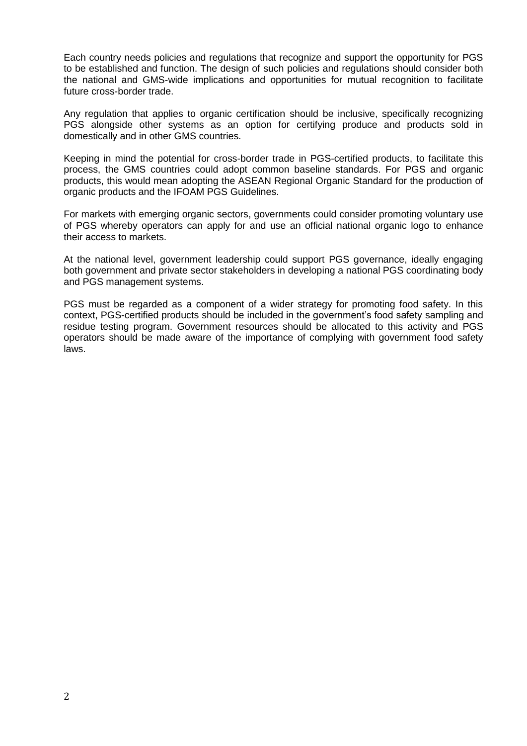Each country needs policies and regulations that recognize and support the opportunity for PGS to be established and function. The design of such policies and regulations should consider both the national and GMS-wide implications and opportunities for mutual recognition to facilitate future cross-border trade.

Any regulation that applies to organic certification should be inclusive, specifically recognizing PGS alongside other systems as an option for certifying produce and products sold in domestically and in other GMS countries.

Keeping in mind the potential for cross-border trade in PGS-certified products, to facilitate this process, the GMS countries could adopt common baseline standards. For PGS and organic products, this would mean adopting the ASEAN Regional Organic Standard for the production of organic products and the IFOAM PGS Guidelines.

For markets with emerging organic sectors, governments could consider promoting voluntary use of PGS whereby operators can apply for and use an official national organic logo to enhance their access to markets.

At the national level, government leadership could support PGS governance, ideally engaging both government and private sector stakeholders in developing a national PGS coordinating body and PGS management systems.

PGS must be regarded as a component of a wider strategy for promoting food safety. In this context, PGS-certified products should be included in the government's food safety sampling and residue testing program. Government resources should be allocated to this activity and PGS operators should be made aware of the importance of complying with government food safety laws.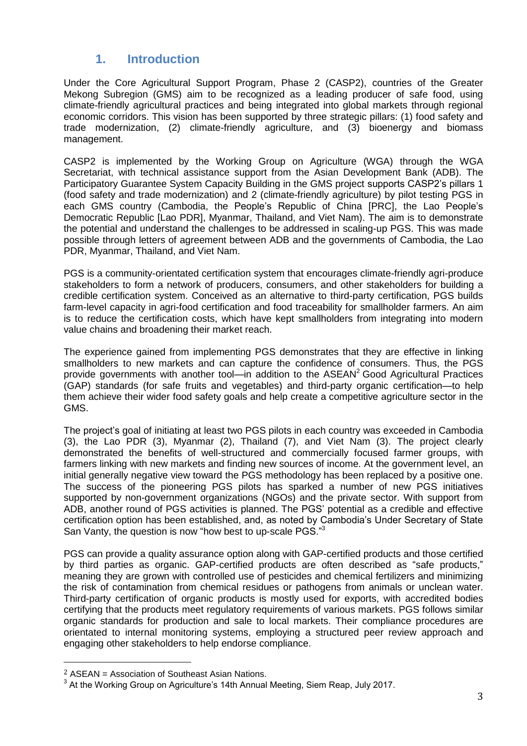## **1. Introduction**

<span id="page-4-0"></span>Under the Core Agricultural Support Program, Phase 2 (CASP2), countries of the Greater Mekong Subregion (GMS) aim to be recognized as a leading producer of safe food, using climate-friendly agricultural practices and being integrated into global markets through regional economic corridors. This vision has been supported by three strategic pillars: (1) food safety and trade modernization, (2) climate-friendly agriculture, and (3) bioenergy and biomass management.

CASP2 is implemented by the Working Group on Agriculture (WGA) through the WGA Secretariat, with technical assistance support from the Asian Development Bank (ADB). The Participatory Guarantee System Capacity Building in the GMS project supports CASP2's pillars 1 (food safety and trade modernization) and 2 (climate-friendly agriculture) by pilot testing PGS in each GMS country (Cambodia, the People's Republic of China [PRC], the Lao People's Democratic Republic [Lao PDR], Myanmar, Thailand, and Viet Nam). The aim is to demonstrate the potential and understand the challenges to be addressed in scaling-up PGS. This was made possible through letters of agreement between ADB and the governments of Cambodia, the Lao PDR, Myanmar, Thailand, and Viet Nam.

PGS is a community-orientated certification system that encourages climate-friendly agri-produce stakeholders to form a network of producers, consumers, and other stakeholders for building a credible certification system. Conceived as an alternative to third-party certification, PGS builds farm-level capacity in agri-food certification and food traceability for smallholder farmers. An aim is to reduce the certification costs, which have kept smallholders from integrating into modern value chains and broadening their market reach.

The experience gained from implementing PGS demonstrates that they are effective in linking smallholders to new markets and can capture the confidence of consumers. Thus, the PGS provide governments with another tool—in addition to the  $ASEAN<sup>2</sup>$  Good Agricultural Practices (GAP) standards (for safe fruits and vegetables) and third-party organic certification—to help them achieve their wider food safety goals and help create a competitive agriculture sector in the GMS.

The project's goal of initiating at least two PGS pilots in each country was exceeded in Cambodia (3), the Lao PDR (3), Myanmar (2), Thailand (7), and Viet Nam (3). The project clearly demonstrated the benefits of well-structured and commercially focused farmer groups, with farmers linking with new markets and finding new sources of income. At the government level, an initial generally negative view toward the PGS methodology has been replaced by a positive one. The success of the pioneering PGS pilots has sparked a number of new PGS initiatives supported by non-government organizations (NGOs) and the private sector. With support from ADB, another round of PGS activities is planned. The PGS' potential as a credible and effective certification option has been established, and, as noted by Cambodia's Under Secretary of State San Vanty, the question is now "how best to up-scale PGS."<sup>3</sup>

PGS can provide a quality assurance option along with GAP-certified products and those certified by third parties as organic. GAP-certified products are often described as "safe products," meaning they are grown with controlled use of pesticides and chemical fertilizers and minimizing the risk of contamination from chemical residues or pathogens from animals or unclean water. Third-party certification of organic products is mostly used for exports, with accredited bodies certifying that the products meet regulatory requirements of various markets. PGS follows similar organic standards for production and sale to local markets. Their compliance procedures are orientated to internal monitoring systems, employing a structured peer review approach and engaging other stakeholders to help endorse compliance.

 $2$  ASEAN = Association of Southeast Asian Nations.

 $^3$  At the Working Group on Agriculture's 14th Annual Meeting, Siem Reap, July 2017.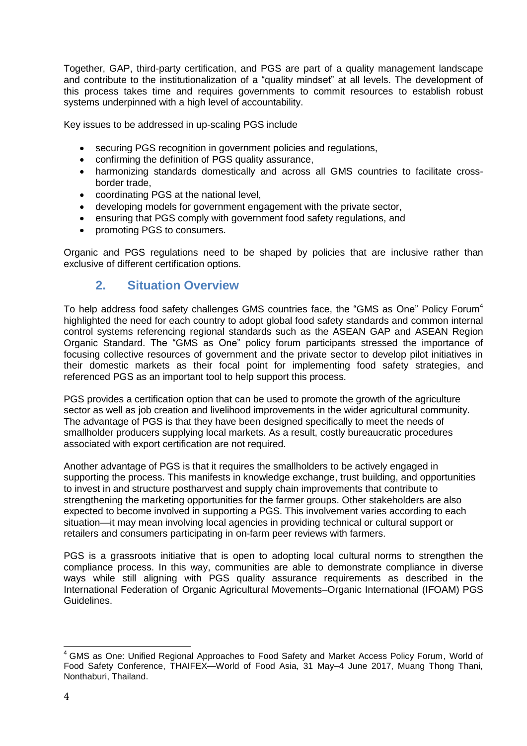Together, GAP, third-party certification, and PGS are part of a quality management landscape and contribute to the institutionalization of a "quality mindset" at all levels. The development of this process takes time and requires governments to commit resources to establish robust systems underpinned with a high level of accountability.

Key issues to be addressed in up-scaling PGS include

- securing PGS recognition in government policies and regulations,
- confirming the definition of PGS quality assurance,
- harmonizing standards domestically and across all GMS countries to facilitate crossborder trade,
- coordinating PGS at the national level,
- developing models for government engagement with the private sector,
- ensuring that PGS comply with government food safety regulations, and
- promoting PGS to consumers.

<span id="page-5-0"></span>Organic and PGS regulations need to be shaped by policies that are inclusive rather than exclusive of different certification options.

## **2. Situation Overview**

To help address food safety challenges GMS countries face, the "GMS as One" Policy Forum<sup>4</sup> highlighted the need for each country to adopt global food safety standards and common internal control systems referencing regional standards such as the ASEAN GAP and ASEAN Region Organic Standard. The "GMS as One" policy forum participants stressed the importance of focusing collective resources of government and the private sector to develop pilot initiatives in their domestic markets as their focal point for implementing food safety strategies, and referenced PGS as an important tool to help support this process.

PGS provides a certification option that can be used to promote the growth of the agriculture sector as well as job creation and livelihood improvements in the wider agricultural community. The advantage of PGS is that they have been designed specifically to meet the needs of smallholder producers supplying local markets. As a result, costly bureaucratic procedures associated with export certification are not required.

Another advantage of PGS is that it requires the smallholders to be actively engaged in supporting the process. This manifests in knowledge exchange, trust building, and opportunities to invest in and structure postharvest and supply chain improvements that contribute to strengthening the marketing opportunities for the farmer groups. Other stakeholders are also expected to become involved in supporting a PGS. This involvement varies according to each situation—it may mean involving local agencies in providing technical or cultural support or retailers and consumers participating in on-farm peer reviews with farmers.

PGS is a grassroots initiative that is open to adopting local cultural norms to strengthen the compliance process. In this way, communities are able to demonstrate compliance in diverse ways while still aligning with PGS quality assurance requirements as described in the International Federation of Organic Agricultural Movements–Organic International (IFOAM) PGS Guidelines.

<sup>&</sup>lt;u>.</u> <sup>4</sup> GMS as One: Unified Regional Approaches to Food Safety and Market Access Policy Forum, World of Food Safety Conference, THAIFEX—World of Food Asia, 31 May–4 June 2017, Muang Thong Thani, Nonthaburi, Thailand.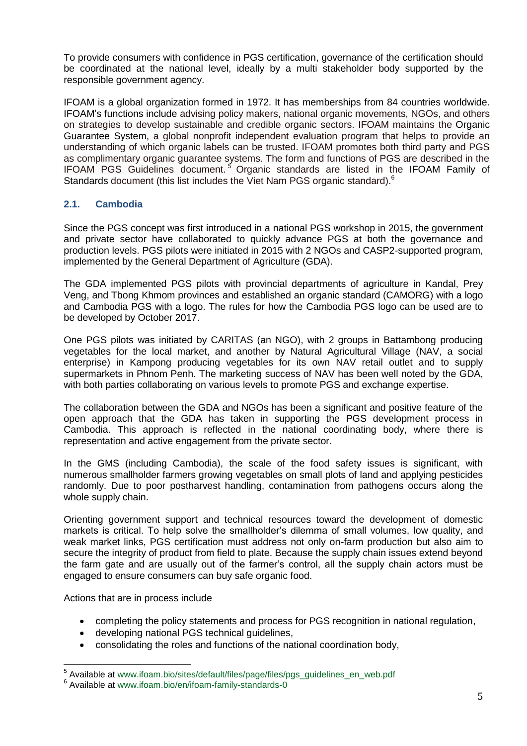To provide consumers with confidence in PGS certification, governance of the certification should be coordinated at the national level, ideally by a multi stakeholder body supported by the responsible government agency.

IFOAM is a global organization formed in 1972. It has memberships from 84 countries worldwide. IFOAM's functions include advising policy makers, national organic movements, NGOs, and others on strategies to develop sustainable and credible organic sectors. IFOAM maintains the [Organic](http://www.ifoam.bio/en/value-chain/ifoam-organic-guarantee-system) [Guarantee](http://www.ifoam.bio/en/value-chain/ifoam-organic-guarantee-system) System, a global nonprofit independent evaluation program that helps to provide an understanding of which organic labels can be trusted. IFOAM promotes both third party and PGS as complimentary organic guarantee systems. The form and functions of PGS are described in the [IFOAM](http://www.ifoam.bio/en/ifoam-family-standards-0) PGS Guidelines document.<sup>5</sup> Organic standards are listed in the IFOAM Family of [Standards](http://www.ifoam.bio/en/ifoam-family-standards-0) document (this list includes the Viet Nam PGS organic standard).<sup>6</sup>

#### <span id="page-6-0"></span>**2.1. Cambodia**

Since the PGS concept was first introduced in a national PGS workshop in 2015, the government and private sector have collaborated to quickly advance PGS at both the governance and production levels. PGS pilots were initiated in 2015 with 2 NGOs and CASP2-supported program, implemented by the General Department of Agriculture (GDA).

The GDA implemented PGS pilots with provincial departments of agriculture in Kandal, Prey Veng, and Tbong Khmom provinces and established an organic standard (CAMORG) with a logo and Cambodia PGS with a logo. The rules for how the Cambodia PGS logo can be used are to be developed by October 2017.

One PGS pilots was initiated by CARITAS (an NGO), with 2 groups in Battambong producing vegetables for the local market, and another by Natural Agricultural Village (NAV, a social enterprise) in Kampong producing vegetables for its own NAV retail outlet and to supply supermarkets in Phnom Penh. The marketing success of NAV has been well noted by the GDA, with both parties collaborating on various levels to promote PGS and exchange expertise.

The collaboration between the GDA and NGOs has been a significant and positive feature of the open approach that the GDA has taken in supporting the PGS development process in Cambodia. This approach is reflected in the national coordinating body, where there is representation and active engagement from the private sector.

In the GMS (including Cambodia), the scale of the food safety issues is significant, with numerous smallholder farmers growing vegetables on small plots of land and applying pesticides randomly. Due to poor postharvest handling, contamination from pathogens occurs along the whole supply chain.

Orienting government support and technical resources toward the development of domestic markets is critical. To help solve the smallholder's dilemma of small volumes, low quality, and weak market links, PGS certification must address not only on-farm production but also aim to secure the integrity of product from field to plate. Because the supply chain issues extend beyond the farm gate and are usually out of the farmer's control, all the supply chain actors must be engaged to ensure consumers can buy safe organic food.

Actions that are in process include

- completing the policy statements and process for PGS recognition in national regulation,
- developing national PGS technical guidelines,
- consolidating the roles and functions of the national coordination body,

 5 Available at www.ifoam.bio/sites/default/files/page/files/pgs\_guidelines\_en\_web.pdf

<sup>6</sup> Available at www.ifoam.bio/en/ifoam-family-standards-0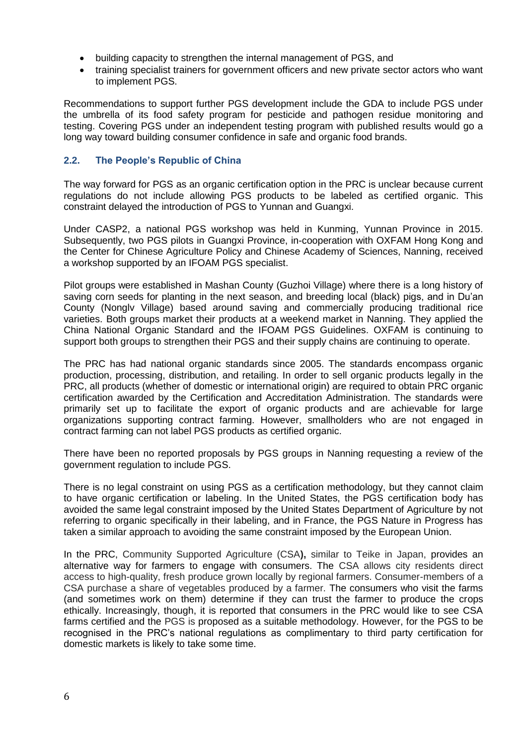- building capacity to strengthen the internal management of PGS, and
- training specialist trainers for government officers and new private sector actors who want to implement PGS.

Recommendations to support further PGS development include the GDA to include PGS under the umbrella of its food safety program for pesticide and pathogen residue monitoring and testing. Covering PGS under an independent testing program with published results would go a long way toward building consumer confidence in safe and organic food brands.

#### <span id="page-7-0"></span>**2.2. The People's Republic of China**

The way forward for PGS as an organic certification option in the PRC is unclear because current regulations do not include allowing PGS products to be labeled as certified organic. This constraint delayed the introduction of PGS to Yunnan and Guangxi.

Under CASP2, a national PGS workshop was held in Kunming, Yunnan Province in 2015. Subsequently, two PGS pilots in Guangxi Province, in-cooperation with OXFAM Hong Kong and the Center for Chinese Agriculture Policy and Chinese Academy of Sciences, Nanning, received a workshop supported by an IFOAM PGS specialist.

Pilot groups were established in Mashan County (Guzhoi Village) where there is a long history of saving corn seeds for planting in the next season, and breeding local (black) pigs, and in Du'an County (Nonglv Village) based around saving and commercially producing traditional rice varieties. Both groups market their products at a weekend market in Nanning. They applied the China National Organic Standard and the IFOAM PGS Guidelines. OXFAM is continuing to support both groups to strengthen their PGS and their supply chains are continuing to operate.

The PRC has had national organic standards since 2005. The standards encompass organic production, processing, distribution, and retailing. In order to sell organic products legally in the PRC, all products (whether of domestic or international origin) are required to obtain PRC organic certification awarded by the Certification and Accreditation Administration. The standards were primarily set up to facilitate the export of organic products and are achievable for large organizations supporting contract farming. However, smallholders who are not engaged in contract farming can not label PGS products as certified organic.

There have been no reported proposals by PGS groups in Nanning requesting a review of the government regulation to include PGS.

There is no legal constraint on using PGS as a certification methodology, but they cannot claim to have organic certification or labeling. In the United States, the PGS certification body has avoided the same legal constraint imposed by the United States Department of Agriculture by not referring to organic specifically in their labeling, and in France, the PGS Nature in Progress has taken a similar approach to avoiding the same constraint imposed by the European Union.

In the PRC, Community Supported Agriculture (CSA**),** similar to Teike in Japan, provides an alternative way for farmers to engage with consumers. The CSA allows city residents direct access to high-quality, fresh produce grown locally by regional farmers. Consumer-members of a CSA purchase a share of vegetables produced by a farmer. The consumers who visit the farms (and sometimes work on them) determine if they can trust the farmer to produce the crops ethically. Increasingly, though, it is reported that consumers in the PRC would like to see CSA farms certified and the PGS is proposed as a suitable methodology. However, for the PGS to be recognised in the PRC's national regulations as complimentary to third party certification for domestic markets is likely to take some time.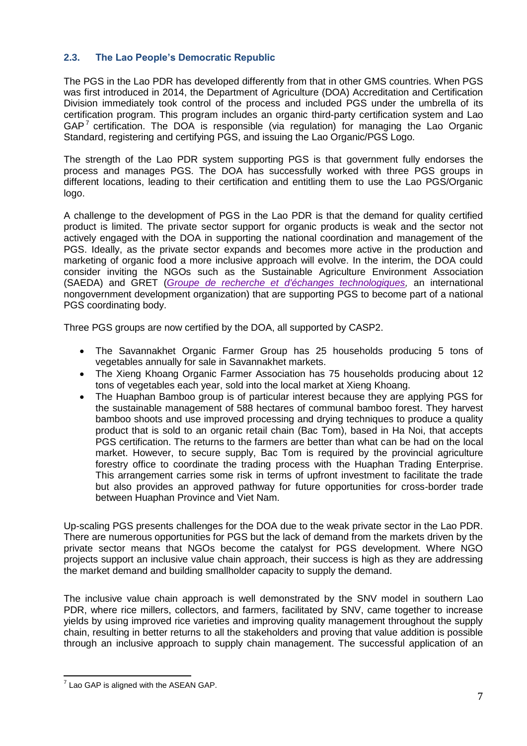#### <span id="page-8-0"></span>**2.3. The Lao People's Democratic Republic**

The PGS in the Lao PDR has developed differently from that in other GMS countries. When PGS was first introduced in 2014, the Department of Agriculture (DOA) Accreditation and Certification Division immediately took control of the process and included PGS under the umbrella of its certification program. This program includes an organic third-party certification system and Lao GAP<sup>7</sup> certification. The DOA is responsible (via regulation) for managing the Lao Organic Standard, registering and certifying PGS, and issuing the Lao Organic/PGS Logo.

The strength of the Lao PDR system supporting PGS is that government fully endorses the process and manages PGS. The DOA has successfully worked with three PGS groups in different locations, leading to their certification and entitling them to use the Lao PGS/Organic logo.

A challenge to the development of PGS in the Lao PDR is that the demand for quality certified product is limited. The private sector support for organic products is weak and the sector not actively engaged with the DOA in supporting the national coordination and management of the PGS. Ideally, as the private sector expands and becomes more active in the production and marketing of organic food a more inclusive approach will evolve. In the interim, the DOA could consider inviting the NGOs such as the Sustainable Agriculture Environment Association (SAEDA) and GRET (*[Groupe de recherche et d'échanges technologiques,](https://www.google.co.th/url?sa=t&rct=j&q=&esrc=s&source=web&cd=10&cad=rja&uact=8&ved=0ahUKEwjDmqri0IDWAhVKLo8KHbKiB3cQFghSMAk&url=http%3A%2F%2Fwww.preventionweb.net%2Forganizations%2F9319&usg=AFQjCNGhI4xC0IG0otOnOLzDherwQAbfcg)* an international nongovernment development organization) that are supporting PGS to become part of a national PGS coordinating body.

Three PGS groups are now certified by the DOA, all supported by CASP2.

- The Savannakhet Organic Farmer Group has 25 households producing 5 tons of vegetables annually for sale in Savannakhet markets.
- The Xieng Khoang Organic Farmer Association has 75 households producing about 12 tons of vegetables each year, sold into the local market at Xieng Khoang.
- The Huaphan Bamboo group is of particular interest because they are applying PGS for the sustainable management of 588 hectares of communal bamboo forest. They harvest bamboo shoots and use improved processing and drying techniques to produce a quality product that is sold to an organic retail chain (Bac Tom), based in Ha Noi, that accepts PGS certification. The returns to the farmers are better than what can be had on the local market. However, to secure supply, Bac Tom is required by the provincial agriculture forestry office to coordinate the trading process with the Huaphan Trading Enterprise. This arrangement carries some risk in terms of upfront investment to facilitate the trade but also provides an approved pathway for future opportunities for cross-border trade between Huaphan Province and Viet Nam.

Up-scaling PGS presents challenges for the DOA due to the weak private sector in the Lao PDR. There are numerous opportunities for PGS but the lack of demand from the markets driven by the private sector means that NGOs become the catalyst for PGS development. Where NGO projects support an inclusive value chain approach, their success is high as they are addressing the market demand and building smallholder capacity to supply the demand.

The inclusive value chain approach is well demonstrated by the SNV model in southern Lao PDR, where rice millers, collectors, and farmers, facilitated by SNV, came together to increase yields by using improved rice varieties and improving quality management throughout the supply chain, resulting in better returns to all the stakeholders and proving that value addition is possible through an inclusive approach to supply chain management. The successful application of an

<sup>&</sup>lt;u>.</u>  $7$  Lao GAP is aligned with the ASEAN GAP.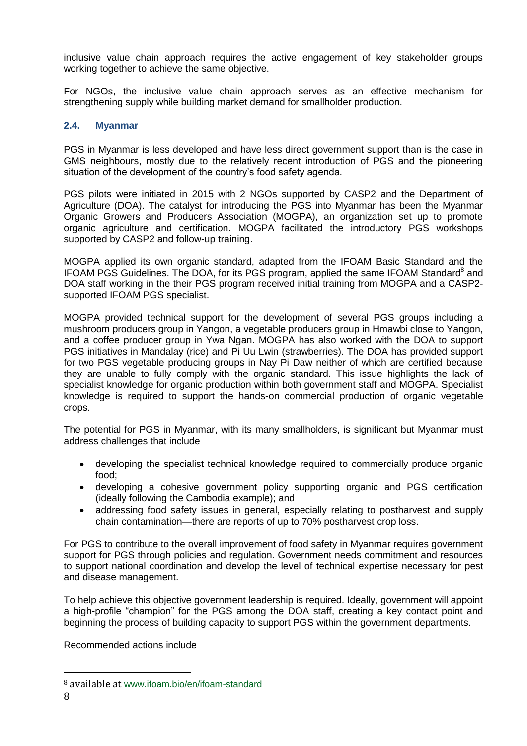inclusive value chain approach requires the active engagement of key stakeholder groups working together to achieve the same objective.

For NGOs, the inclusive value chain approach serves as an effective mechanism for strengthening supply while building market demand for smallholder production.

#### <span id="page-9-0"></span>**2.4. Myanmar**

PGS in Myanmar is less developed and have less direct government support than is the case in GMS neighbours, mostly due to the relatively recent introduction of PGS and the pioneering situation of the development of the country's food safety agenda.

PGS pilots were initiated in 2015 with 2 NGOs supported by CASP2 and the Department of Agriculture (DOA). The catalyst for introducing the PGS into Myanmar has been the Myanmar Organic Growers and Producers Association (MOGPA), an organization set up to promote organic agriculture and certification. MOGPA facilitated the introductory PGS workshops supported by CASP2 and follow-up training.

MOGPA applied its own organic standard, adapted from the IFOAM Basic Standard and the IFOAM PGS Guidelines. The DOA, for its PGS program, applied the same IFOAM Standard<sup>8</sup> and DOA staff working in the their PGS program received initial training from MOGPA and a CASP2 supported IFOAM PGS specialist.

MOGPA provided technical support for the development of several PGS groups including a mushroom producers group in Yangon, a vegetable producers group in Hmawbi close to Yangon, and a coffee producer group in Ywa Ngan. MOGPA has also worked with the DOA to support PGS initiatives in Mandalay (rice) and Pi Uu Lwin (strawberries). The DOA has provided support for two PGS vegetable producing groups in Nay Pi Daw neither of which are certified because they are unable to fully comply with the organic standard. This issue highlights the lack of specialist knowledge for organic production within both government staff and MOGPA. Specialist knowledge is required to support the hands-on commercial production of organic vegetable crops.

The potential for PGS in Myanmar, with its many smallholders, is significant but Myanmar must address challenges that include

- developing the specialist technical knowledge required to commercially produce organic food;
- developing a cohesive government policy supporting organic and PGS certification (ideally following the Cambodia example); and
- addressing food safety issues in general, especially relating to postharvest and supply chain contamination—there are reports of up to 70% postharvest crop loss.

For PGS to contribute to the overall improvement of food safety in Myanmar requires government support for PGS through policies and regulation. Government needs commitment and resources to support national coordination and develop the level of technical expertise necessary for pest and disease management.

To help achieve this objective government leadership is required. Ideally, government will appoint a high-profile "champion" for the PGS among the DOA staff, creating a key contact point and beginning the process of building capacity to support PGS within the government departments.

Recommended actions include

<sup>8</sup> available at www.ifoam.bio/en/ifoam-standard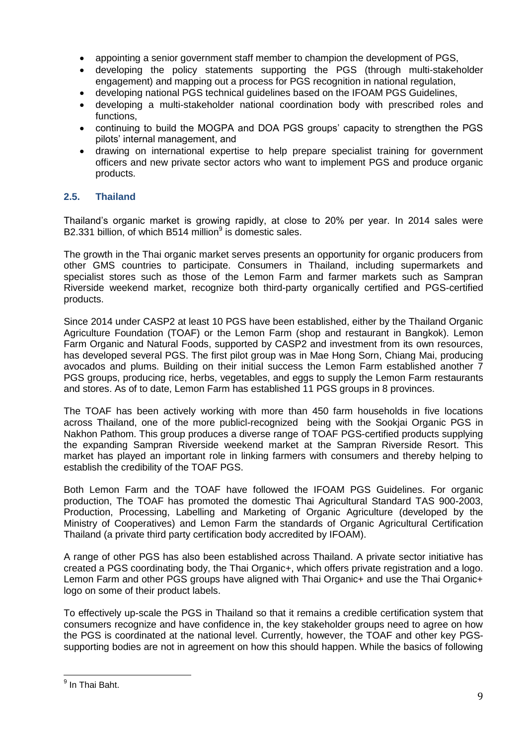- appointing a senior government staff member to champion the development of PGS,
- developing the policy statements supporting the PGS (through multi-stakeholder engagement) and mapping out a process for PGS recognition in national regulation,
- developing national PGS technical guidelines based on the IFOAM PGS Guidelines,
- developing a multi-stakeholder national coordination body with prescribed roles and functions,
- continuing to build the MOGPA and DOA PGS groups' capacity to strengthen the PGS pilots' internal management, and
- drawing on international expertise to help prepare specialist training for government officers and new private sector actors who want to implement PGS and produce organic products.

#### <span id="page-10-0"></span>**2.5. Thailand**

Thailand's organic market is growing rapidly, at close to 20% per year. In 2014 sales were B2.331 billion, of which B514 million $9$  is domestic sales.

The growth in the Thai organic market serves presents an opportunity for organic producers from other GMS countries to participate. Consumers in Thailand, including supermarkets and specialist stores such as those of the Lemon Farm and farmer markets such as Sampran Riverside weekend market, recognize both third-party organically certified and PGS-certified products.

Since 2014 under CASP2 at least 10 PGS have been established, either by the Thailand Organic Agriculture Foundation (TOAF) or the Lemon Farm (shop and restaurant in Bangkok). Lemon Farm Organic and Natural Foods, supported by CASP2 and investment from its own resources, has developed several PGS. The first pilot group was in Mae Hong Sorn, Chiang Mai, producing avocados and plums. Building on their initial success the Lemon Farm established another 7 PGS groups, producing rice, herbs, vegetables, and eggs to supply the Lemon Farm restaurants and stores. As of to date, Lemon Farm has established 11 PGS groups in 8 provinces.

The TOAF has been actively working with more than 450 farm households in five locations across Thailand, one of the more publicl-recognized being with the Sookjai Organic PGS in Nakhon Pathom. This group produces a diverse range of TOAF PGS-certified products supplying the expanding Sampran Riverside weekend market at the Sampran Riverside Resort. This market has played an important role in linking farmers with consumers and thereby helping to establish the credibility of the TOAF PGS.

Both Lemon Farm and the TOAF have followed the IFOAM PGS Guidelines. For organic production, The TOAF has promoted the domestic Thai Agricultural Standard TAS 900-2003, Production, Processing, Labelling and Marketing of Organic Agriculture (developed by the Ministry of Cooperatives) and Lemon Farm the standards of Organic Agricultural Certification Thailand (a private third party certification body accredited by IFOAM).

A range of other PGS has also been established across Thailand. A private sector initiative has created a PGS coordinating body, the Thai Organic+, which offers private registration and a logo. Lemon Farm and other PGS groups have aligned with Thai Organic+ and use the Thai Organic+ logo on some of their product labels.

To effectively up-scale the PGS in Thailand so that it remains a credible certification system that consumers recognize and have confidence in, the key stakeholder groups need to agree on how the PGS is coordinated at the national level. Currently, however, the TOAF and other key PGSsupporting bodies are not in agreement on how this should happen. While the basics of following

\_\_\_\_\_\_\_\_\_\_\_\_\_\_\_<br><sup>9</sup> In Thai Baht.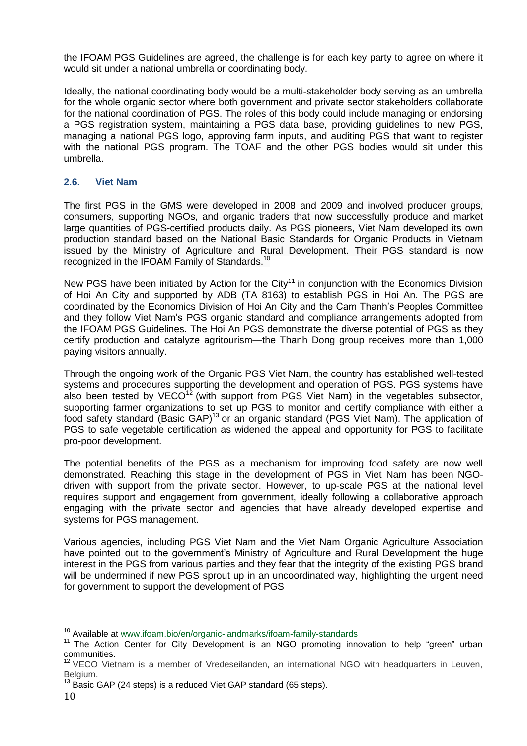the IFOAM PGS Guidelines are agreed, the challenge is for each key party to agree on where it would sit under a national umbrella or coordinating body.

Ideally, the national coordinating body would be a multi-stakeholder body serving as an umbrella for the whole organic sector where both government and private sector stakeholders collaborate for the national coordination of PGS. The roles of this body could include managing or endorsing a PGS registration system, maintaining a PGS data base, providing guidelines to new PGS, managing a national PGS logo, approving farm inputs, and auditing PGS that want to register with the national PGS program. The TOAF and the other PGS bodies would sit under this umbrella.

#### <span id="page-11-0"></span>**2.6. Viet Nam**

The first PGS in the GMS were developed in 2008 and 2009 and involved producer groups, consumers, supporting NGOs, and organic traders that now successfully produce and market large quantities of PGS-certified products daily. As PGS pioneers, Viet Nam developed its own production standard based on the National Basic Standards for Organic Products in Vietnam issued by the Ministry of Agriculture and Rural Development. Their PGS standard is now recognized in the IFOAM Family of Standards.<sup>10</sup>

New PGS have been initiated by Action for the City<sup>11</sup> in conjunction with the Economics Division of Hoi An City and supported by ADB (TA 8163) to establish PGS in Hoi An. The PGS are coordinated by the Economics Division of Hoi An City and the Cam Thanh's Peoples Committee and they follow Viet Nam's PGS organic standard and compliance arrangements adopted from the IFOAM PGS Guidelines. The Hoi An PGS demonstrate the diverse potential of PGS as they certify production and catalyze agritourism—the Thanh Dong group receives more than 1,000 paying visitors annually.

Through the ongoing work of the Organic PGS Viet Nam, the country has established well-tested systems and procedures supporting the development and operation of PGS. PGS systems have also been tested by  $VECO<sup>12</sup>$  (with support from PGS Viet Nam) in the vegetables subsector, supporting farmer organizations to set up PGS to monitor and certify compliance with either a food safety standard (Basic GAP)<sup>13</sup> or an organic standard (PGS Viet Nam). The application of PGS to safe vegetable certification as widened the appeal and opportunity for PGS to facilitate pro-poor development.

The potential benefits of the PGS as a mechanism for improving food safety are now well demonstrated. Reaching this stage in the development of PGS in Viet Nam has been NGOdriven with support from the private sector. However, to up-scale PGS at the national level requires support and engagement from government, ideally following a collaborative approach engaging with the private sector and agencies that have already developed expertise and systems for PGS management.

Various agencies, including PGS Viet Nam and the Viet Nam Organic Agriculture Association have pointed out to the government's Ministry of Agriculture and Rural Development the huge interest in the PGS from various parties and they fear that the integrity of the existing PGS brand will be undermined if new PGS sprout up in an uncoordinated way, highlighting the urgent need for government to support the development of PGS

<sup>&</sup>lt;sup>10</sup> Available at www.ifoam.bio/en/organic-landmarks/ifoam-family-standards

<sup>&</sup>lt;sup>11</sup> The Action Center for City Development is an NGO promoting innovation to help "green" urban communities.

<sup>&</sup>lt;sup>12</sup> VECO Vietnam is a member of Vredeseilanden, an international NGO with headquarters in Leuven, Belgium.

 $13$  Basic GAP (24 steps) is a reduced Viet GAP standard (65 steps).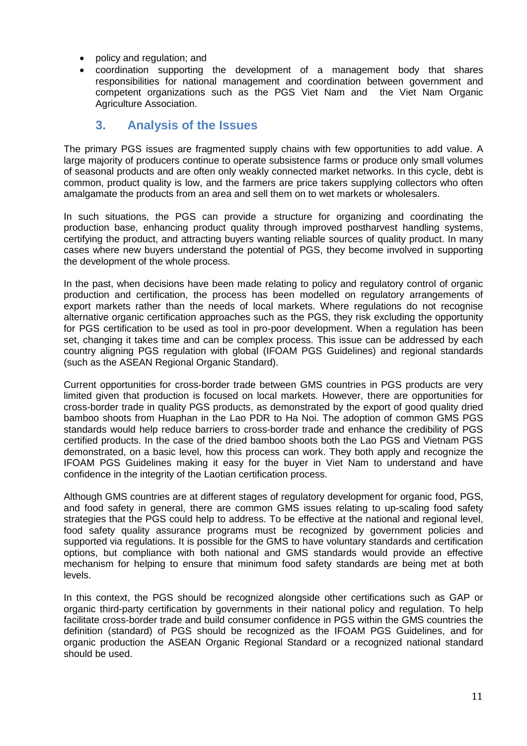- policy and regulation; and
- coordination supporting the development of a management body that shares responsibilities for national management and coordination between government and competent organizations such as the PGS Viet Nam and the Viet Nam Organic Agriculture Association.

#### **3. Analysis of the Issues**

<span id="page-12-0"></span>The primary PGS issues are fragmented supply chains with few opportunities to add value. A large majority of producers continue to operate subsistence farms or produce only small volumes of seasonal products and are often only weakly connected market networks. In this cycle, debt is common, product quality is low, and the farmers are price takers supplying collectors who often amalgamate the products from an area and sell them on to wet markets or wholesalers.

In such situations, the PGS can provide a structure for organizing and coordinating the production base, enhancing product quality through improved postharvest handling systems, certifying the product, and attracting buyers wanting reliable sources of quality product. In many cases where new buyers understand the potential of PGS, they become involved in supporting the development of the whole process.

In the past, when decisions have been made relating to policy and regulatory control of organic production and certification, the process has been modelled on regulatory arrangements of export markets rather than the needs of local markets. Where regulations do not recognise alternative organic certification approaches such as the PGS, they risk excluding the opportunity for PGS certification to be used as tool in pro-poor development. When a regulation has been set, changing it takes time and can be complex process. This issue can be addressed by each country aligning PGS regulation with global (IFOAM PGS Guidelines) and regional standards (such as the ASEAN Regional Organic Standard).

Current opportunities for cross-border trade between GMS countries in PGS products are very limited given that production is focused on local markets. However, there are opportunities for cross-border trade in quality PGS products, as demonstrated by the export of good quality dried bamboo shoots from Huaphan in the Lao PDR to Ha Noi. The adoption of common GMS PGS standards would help reduce barriers to cross-border trade and enhance the credibility of PGS certified products. In the case of the dried bamboo shoots both the Lao PGS and Vietnam PGS demonstrated, on a basic level, how this process can work. They both apply and recognize the IFOAM PGS Guidelines making it easy for the buyer in Viet Nam to understand and have confidence in the integrity of the Laotian certification process.

Although GMS countries are at different stages of regulatory development for organic food, PGS, and food safety in general, there are common GMS issues relating to up-scaling food safety strategies that the PGS could help to address. To be effective at the national and regional level, food safety quality assurance programs must be recognized by government policies and supported via regulations. It is possible for the GMS to have voluntary standards and certification options, but compliance with both national and GMS standards would provide an effective mechanism for helping to ensure that minimum food safety standards are being met at both levels.

In this context, the PGS should be recognized alongside other certifications such as GAP or organic third-party certification by governments in their national policy and regulation. To help facilitate cross-border trade and build consumer confidence in PGS within the GMS countries the definition (standard) of PGS should be recognized as the IFOAM PGS Guidelines, and for organic production the ASEAN Organic Regional Standard or a recognized national standard should be used.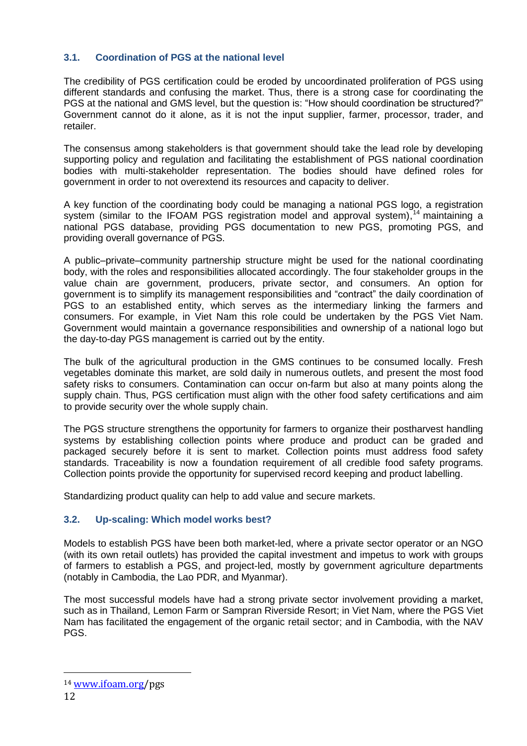#### <span id="page-13-0"></span>**3.1. Coordination of PGS at the national level**

The credibility of PGS certification could be eroded by uncoordinated proliferation of PGS using different standards and confusing the market. Thus, there is a strong case for coordinating the PGS at the national and GMS level, but the question is: "How should coordination be structured?" Government cannot do it alone, as it is not the input supplier, farmer, processor, trader, and retailer.

The consensus among stakeholders is that government should take the lead role by developing supporting policy and regulation and facilitating the establishment of PGS national coordination bodies with multi-stakeholder representation. The bodies should have defined roles for government in order to not overextend its resources and capacity to deliver.

A key function of the coordinating body could be managing a national PGS logo, a registration system (similar to the IFOAM PGS registration model and approval system),<sup>14</sup> maintaining a national PGS database, providing PGS documentation to new PGS, promoting PGS, and providing overall governance of PGS.

A public–private–community partnership structure might be used for the national coordinating body, with the roles and responsibilities allocated accordingly. The four stakeholder groups in the value chain are government, producers, private sector, and consumers. An option for government is to simplify its management responsibilities and "contract" the daily coordination of PGS to an established entity, which serves as the intermediary linking the farmers and consumers. For example, in Viet Nam this role could be undertaken by the PGS Viet Nam. Government would maintain a governance responsibilities and ownership of a national logo but the day-to-day PGS management is carried out by the entity.

The bulk of the agricultural production in the GMS continues to be consumed locally. Fresh vegetables dominate this market, are sold daily in numerous outlets, and present the most food safety risks to consumers. Contamination can occur on-farm but also at many points along the supply chain. Thus, PGS certification must align with the other food safety certifications and aim to provide security over the whole supply chain.

The PGS structure strengthens the opportunity for farmers to organize their postharvest handling systems by establishing collection points where produce and product can be graded and packaged securely before it is sent to market. Collection points must address food safety standards. Traceability is now a foundation requirement of all credible food safety programs. Collection points provide the opportunity for supervised record keeping and product labelling.

<span id="page-13-1"></span>Standardizing product quality can help to add value and secure markets.

#### **3.2. Up-scaling: Which model works best?**

Models to establish PGS have been both market-led, where a private sector operator or an NGO (with its own retail outlets) has provided the capital investment and impetus to work with groups of farmers to establish a PGS, and project-led, mostly by government agriculture departments (notably in Cambodia, the Lao PDR, and Myanmar).

The most successful models have had a strong private sector involvement providing a market, such as in Thailand, Lemon Farm or Sampran Riverside Resort; in Viet Nam, where the PGS Viet Nam has facilitated the engagement of the organic retail sector; and in Cambodia, with the NAV PGS.

<sup>14</sup> [www.ifoam.org/](http://www.ifoam.org/)pgs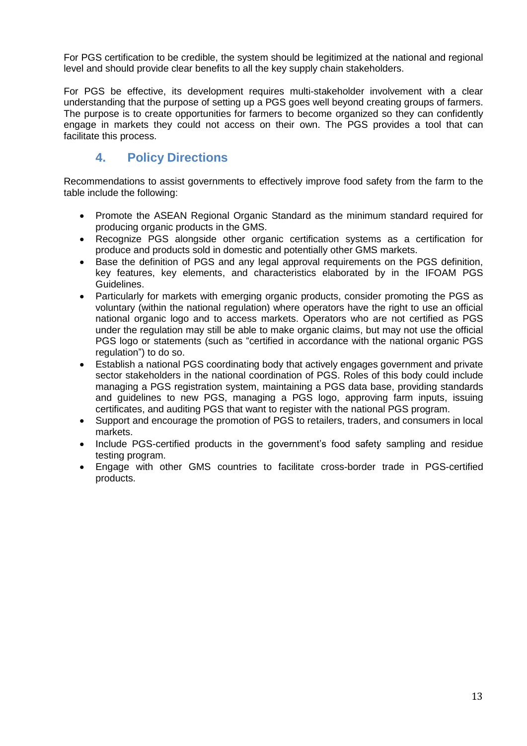For PGS certification to be credible, the system should be legitimized at the national and regional level and should provide clear benefits to all the key supply chain stakeholders.

For PGS be effective, its development requires multi-stakeholder involvement with a clear understanding that the purpose of setting up a PGS goes well beyond creating groups of farmers. The purpose is to create opportunities for farmers to become organized so they can confidently engage in markets they could not access on their own. The PGS provides a tool that can facilitate this process.

## **4. Policy Directions**

<span id="page-14-0"></span>Recommendations to assist governments to effectively improve food safety from the farm to the table include the following:

- Promote the ASEAN Regional Organic Standard as the minimum standard required for producing organic products in the GMS.
- Recognize PGS alongside other organic certification systems as a certification for produce and products sold in domestic and potentially other GMS markets.
- Base the definition of PGS and any legal approval requirements on the PGS definition, key features, key elements, and characteristics elaborated by in the IFOAM PGS Guidelines.
- Particularly for markets with emerging organic products, consider promoting the PGS as voluntary (within the national regulation) where operators have the right to use an official national organic logo and to access markets. Operators who are not certified as PGS under the regulation may still be able to make organic claims, but may not use the official PGS logo or statements (such as "certified in accordance with the national organic PGS regulation") to do so.
- Establish a national PGS coordinating body that actively engages government and private sector stakeholders in the national coordination of PGS. Roles of this body could include managing a PGS registration system, maintaining a PGS data base, providing standards and guidelines to new PGS, managing a PGS logo, approving farm inputs, issuing certificates, and auditing PGS that want to register with the national PGS program.
- Support and encourage the promotion of PGS to retailers, traders, and consumers in local markets.
- Include PGS-certified products in the government's food safety sampling and residue testing program.
- Engage with other GMS countries to facilitate cross-border trade in PGS-certified products.